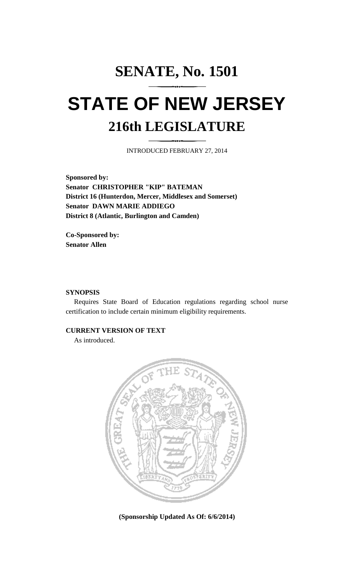# **SENATE, No. 1501 STATE OF NEW JERSEY 216th LEGISLATURE**

INTRODUCED FEBRUARY 27, 2014

**Sponsored by: Senator CHRISTOPHER "KIP" BATEMAN District 16 (Hunterdon, Mercer, Middlesex and Somerset) Senator DAWN MARIE ADDIEGO District 8 (Atlantic, Burlington and Camden)**

**Co-Sponsored by: Senator Allen**

## **SYNOPSIS**

Requires State Board of Education regulations regarding school nurse certification to include certain minimum eligibility requirements.

### **CURRENT VERSION OF TEXT**

As introduced.



**(Sponsorship Updated As Of: 6/6/2014)**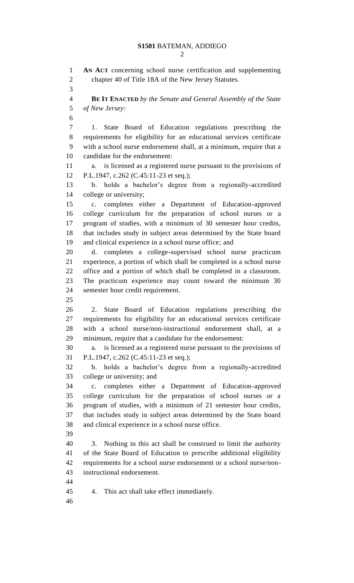**AN ACT** concerning school nurse certification and supplementing chapter 40 of Title 18A of the New Jersey Statutes. **BE IT ENACTED** *by the Senate and General Assembly of the State of New Jersey:* 1. State Board of Education regulations prescribing the requirements for eligibility for an educational services certificate with a school nurse endorsement shall, at a minimum, require that a candidate for the endorsement: a. is licensed as a registered nurse pursuant to the provisions of P.L.1947, c.262 (C.45:11-23 et seq.); b. holds a bachelor's degree from a regionally-accredited college or university; c. completes either a Department of Education-approved college curriculum for the preparation of school nurses or a program of studies, with a minimum of 30 semester hour credits, that includes study in subject areas determined by the State board and clinical experience in a school nurse office; and d. completes a college-supervised school nurse practicum experience, a portion of which shall be completed in a school nurse office and a portion of which shall be completed in a classroom. The practicum experience may count toward the minimum 30 semester hour credit requirement. 2. State Board of Education regulations prescribing the requirements for eligibility for an educational services certificate with a school nurse/non-instructional endorsement shall, at a minimum, require that a candidate for the endorsement: a. is licensed as a registered nurse pursuant to the provisions of P.L.1947, c.262 (C.45:11-23 et seq.); b. holds a bachelor's degree from a regionally-accredited college or university; and c. completes either a Department of Education-approved college curriculum for the preparation of school nurses or a program of studies, with a minimum of 21 semester hour credits, that includes study in subject areas determined by the State board and clinical experience in a school nurse office. 3. Nothing in this act shall be construed to limit the authority of the State Board of Education to prescribe additional eligibility requirements for a school nurse endorsement or a school nurse/non- instructional endorsement. 4. This act shall take effect immediately.